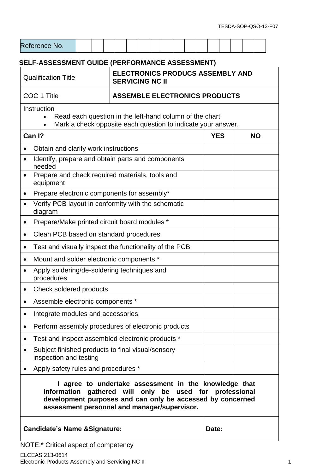| <b>SELF-ASSESSMENT GUIDE (PERFORMANCE ASSESSMENT)</b><br><b>ELECTRONICS PRODUCS ASSEMBLY AND</b><br><b>Qualification Title</b><br><b>SERVICING NC II</b>                                                                     |            |           |  |  |  |  |  |
|------------------------------------------------------------------------------------------------------------------------------------------------------------------------------------------------------------------------------|------------|-----------|--|--|--|--|--|
| COC 1 Title<br><b>ASSEMBLE ELECTRONICS PRODUCTS</b>                                                                                                                                                                          |            |           |  |  |  |  |  |
| Instruction<br>Read each question in the left-hand column of the chart.<br>Mark a check opposite each question to indicate your answer.<br>$\bullet$                                                                         |            |           |  |  |  |  |  |
| Can I?                                                                                                                                                                                                                       | <b>YES</b> | <b>NO</b> |  |  |  |  |  |
| Obtain and clarify work instructions                                                                                                                                                                                         |            |           |  |  |  |  |  |
| Identify, prepare and obtain parts and components<br>needed                                                                                                                                                                  |            |           |  |  |  |  |  |
| Prepare and check required materials, tools and<br>$\bullet$<br>equipment                                                                                                                                                    |            |           |  |  |  |  |  |
| Prepare electronic components for assembly*                                                                                                                                                                                  |            |           |  |  |  |  |  |
| Verify PCB layout in conformity with the schematic<br>diagram                                                                                                                                                                |            |           |  |  |  |  |  |
| Prepare/Make printed circuit board modules *<br>٠                                                                                                                                                                            |            |           |  |  |  |  |  |
| Clean PCB based on standard procedures                                                                                                                                                                                       |            |           |  |  |  |  |  |
| Test and visually inspect the functionality of the PCB                                                                                                                                                                       |            |           |  |  |  |  |  |
| Mount and solder electronic components *                                                                                                                                                                                     |            |           |  |  |  |  |  |
| Apply soldering/de-soldering techniques and<br>procedures                                                                                                                                                                    |            |           |  |  |  |  |  |
| Check soldered products                                                                                                                                                                                                      |            |           |  |  |  |  |  |
| Assemble electronic components *                                                                                                                                                                                             |            |           |  |  |  |  |  |
| Integrate modules and accessories                                                                                                                                                                                            |            |           |  |  |  |  |  |
| Perform assembly procedures of electronic products                                                                                                                                                                           |            |           |  |  |  |  |  |
| Test and inspect assembled electronic products *                                                                                                                                                                             |            |           |  |  |  |  |  |
| Subject finished products to final visual/sensory<br>inspection and testing                                                                                                                                                  |            |           |  |  |  |  |  |
| Apply safety rules and procedures *                                                                                                                                                                                          |            |           |  |  |  |  |  |
| agree to undertake assessment in the knowledge that<br>information gathered will only be used for professional<br>development purposes and can only be accessed by concerned<br>assessment personnel and manager/supervisor. |            |           |  |  |  |  |  |
| <b>Candidate's Name &amp; Signature:</b>                                                                                                                                                                                     | Date:      |           |  |  |  |  |  |

NOTE:\* Critical aspect of competency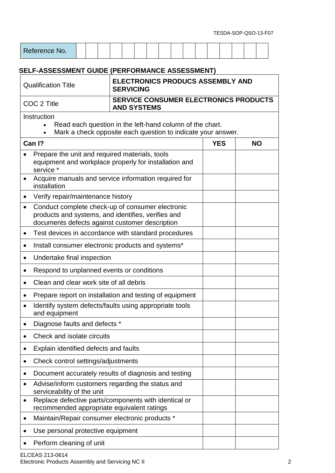| Reference No. |  |  |  |  |  |  |  |  |  |  |  |  |  |  |  |  |
|---------------|--|--|--|--|--|--|--|--|--|--|--|--|--|--|--|--|
|---------------|--|--|--|--|--|--|--|--|--|--|--|--|--|--|--|--|

## **SELF-ASSESSMENT GUIDE (PERFORMANCE ASSESSMENT)**

| <b>Qualification Title</b>                                                           | <b>ELECTRONICS PRODUCS ASSEMBLY AND</b><br><b>SERVICING</b>                                                              |            |           |  |  |  |  |  |  |
|--------------------------------------------------------------------------------------|--------------------------------------------------------------------------------------------------------------------------|------------|-----------|--|--|--|--|--|--|
| COC 2 Title                                                                          | <b>SERVICE CONSUMER ELECTRONICS PRODUCTS</b><br><b>AND SYSTEMS</b>                                                       |            |           |  |  |  |  |  |  |
| Instruction<br>$\bullet$                                                             | Read each question in the left-hand column of the chart.<br>Mark a check opposite each question to indicate your answer. |            |           |  |  |  |  |  |  |
| Can I?                                                                               |                                                                                                                          | <b>YES</b> | <b>NO</b> |  |  |  |  |  |  |
| Prepare the unit and required materials, tools<br>service *                          | equipment and workplace properly for installation and                                                                    |            |           |  |  |  |  |  |  |
| ٠<br>installation                                                                    | Acquire manuals and service information required for                                                                     |            |           |  |  |  |  |  |  |
| Verify repair/maintenance history<br>$\bullet$                                       |                                                                                                                          |            |           |  |  |  |  |  |  |
| $\bullet$<br>documents defects against customer description                          | Conduct complete check-up of consumer electronic<br>products and systems, and identifies, verifies and                   |            |           |  |  |  |  |  |  |
| $\bullet$                                                                            | Test devices in accordance with standard procedures                                                                      |            |           |  |  |  |  |  |  |
| $\bullet$                                                                            | Install consumer electronic products and systems*                                                                        |            |           |  |  |  |  |  |  |
| Undertake final inspection<br>٠                                                      |                                                                                                                          |            |           |  |  |  |  |  |  |
| Respond to unplanned events or conditions<br>$\bullet$                               |                                                                                                                          |            |           |  |  |  |  |  |  |
| Clean and clear work site of all debris<br>$\bullet$                                 |                                                                                                                          |            |           |  |  |  |  |  |  |
| ٠                                                                                    | Prepare report on installation and testing of equipment                                                                  |            |           |  |  |  |  |  |  |
| Identify system defects/faults using appropriate tools<br>$\bullet$<br>and equipment |                                                                                                                          |            |           |  |  |  |  |  |  |
| Diagnose faults and defects *<br>$\bullet$                                           |                                                                                                                          |            |           |  |  |  |  |  |  |
| Check and isolate circuits                                                           |                                                                                                                          |            |           |  |  |  |  |  |  |
| Explain identified defects and faults<br>$\bullet$                                   |                                                                                                                          |            |           |  |  |  |  |  |  |
| Check control settings/adjustments<br>$\bullet$                                      |                                                                                                                          |            |           |  |  |  |  |  |  |
| Document accurately results of diagnosis and testing<br>$\bullet$                    |                                                                                                                          |            |           |  |  |  |  |  |  |
| Advise/inform customers regarding the status and<br>serviceability of the unit       |                                                                                                                          |            |           |  |  |  |  |  |  |
| $\bullet$<br>recommended appropriate equivalent ratings                              | Replace defective parts/components with identical or                                                                     |            |           |  |  |  |  |  |  |
| Maintain/Repair consumer electronic products *<br>٠                                  |                                                                                                                          |            |           |  |  |  |  |  |  |
| Use personal protective equipment<br>$\bullet$                                       |                                                                                                                          |            |           |  |  |  |  |  |  |
| Perform cleaning of unit                                                             |                                                                                                                          |            |           |  |  |  |  |  |  |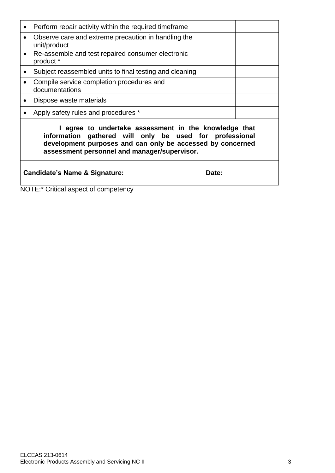| $\bullet$ | Perform repair activity within the required timeframe                                                                                                                                                                          |       |  |  |  |  |
|-----------|--------------------------------------------------------------------------------------------------------------------------------------------------------------------------------------------------------------------------------|-------|--|--|--|--|
| $\bullet$ | Observe care and extreme precaution in handling the<br>unit/product                                                                                                                                                            |       |  |  |  |  |
| $\bullet$ | Re-assemble and test repaired consumer electronic<br>product *                                                                                                                                                                 |       |  |  |  |  |
|           | Subject reassembled units to final testing and cleaning                                                                                                                                                                        |       |  |  |  |  |
|           | Compile service completion procedures and<br>documentations                                                                                                                                                                    |       |  |  |  |  |
|           | Dispose waste materials                                                                                                                                                                                                        |       |  |  |  |  |
|           | Apply safety rules and procedures *                                                                                                                                                                                            |       |  |  |  |  |
|           | I agree to undertake assessment in the knowledge that<br>information gathered will only be used for professional<br>development purposes and can only be accessed by concerned<br>assessment personnel and manager/supervisor. |       |  |  |  |  |
|           | <b>Candidate's Name &amp; Signature:</b>                                                                                                                                                                                       | Date: |  |  |  |  |

NOTE:\* Critical aspect of competency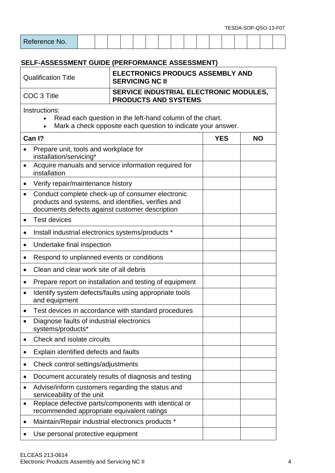| Reference No. |  |  |  |  |  |  |  |  |
|---------------|--|--|--|--|--|--|--|--|

## **SELF-ASSESSMENT GUIDE (PERFORMANCE ASSESSMENT)**

| <b>Qualification Title</b>                                                                                                                             | <b>SERVICING NC II</b>                                                                                                                                   | <b>ELECTRONICS PRODUCS ASSEMBLY AND</b> |           |  |  |  |  |  |
|--------------------------------------------------------------------------------------------------------------------------------------------------------|----------------------------------------------------------------------------------------------------------------------------------------------------------|-----------------------------------------|-----------|--|--|--|--|--|
| COC 3 Title                                                                                                                                            | SERVICE INDUSTRIAL ELECTRONIC MODULES,<br><b>PRODUCTS AND SYSTEMS</b>                                                                                    |                                         |           |  |  |  |  |  |
| Instructions:<br>Read each question in the left-hand column of the chart.<br>Mark a check opposite each question to indicate your answer.<br>$\bullet$ |                                                                                                                                                          |                                         |           |  |  |  |  |  |
| Can I?                                                                                                                                                 |                                                                                                                                                          | <b>YES</b>                              | <b>NO</b> |  |  |  |  |  |
| Prepare unit, tools and workplace for<br>installation/servicing*                                                                                       |                                                                                                                                                          |                                         |           |  |  |  |  |  |
| $\bullet$<br>installation                                                                                                                              | Acquire manuals and service information required for                                                                                                     |                                         |           |  |  |  |  |  |
| Verify repair/maintenance history<br>$\bullet$                                                                                                         |                                                                                                                                                          |                                         |           |  |  |  |  |  |
| $\bullet$                                                                                                                                              | Conduct complete check-up of consumer electronic<br>products and systems, and identifies, verifies and<br>documents defects against customer description |                                         |           |  |  |  |  |  |
| <b>Test devices</b><br>$\bullet$                                                                                                                       |                                                                                                                                                          |                                         |           |  |  |  |  |  |
| Install industrial electronics systems/products *<br>$\bullet$                                                                                         |                                                                                                                                                          |                                         |           |  |  |  |  |  |
| Undertake final inspection<br>$\bullet$                                                                                                                |                                                                                                                                                          |                                         |           |  |  |  |  |  |
| Respond to unplanned events or conditions<br>$\bullet$                                                                                                 |                                                                                                                                                          |                                         |           |  |  |  |  |  |
| Clean and clear work site of all debris<br>$\bullet$                                                                                                   |                                                                                                                                                          |                                         |           |  |  |  |  |  |
| ٠                                                                                                                                                      | Prepare report on installation and testing of equipment                                                                                                  |                                         |           |  |  |  |  |  |
| $\bullet$<br>and equipment                                                                                                                             | Identify system defects/faults using appropriate tools                                                                                                   |                                         |           |  |  |  |  |  |
| $\bullet$                                                                                                                                              | Test devices in accordance with standard procedures                                                                                                      |                                         |           |  |  |  |  |  |
| systems/products*                                                                                                                                      | Diagnose faults of industrial electronics                                                                                                                |                                         |           |  |  |  |  |  |
| Check and isolate circuits<br>$\bullet$                                                                                                                |                                                                                                                                                          |                                         |           |  |  |  |  |  |
| Explain identified defects and faults                                                                                                                  |                                                                                                                                                          |                                         |           |  |  |  |  |  |
|                                                                                                                                                        | Check control settings/adjustments                                                                                                                       |                                         |           |  |  |  |  |  |
|                                                                                                                                                        | Document accurately results of diagnosis and testing                                                                                                     |                                         |           |  |  |  |  |  |
| serviceability of the unit                                                                                                                             | Advise/inform customers regarding the status and                                                                                                         |                                         |           |  |  |  |  |  |
| $\bullet$                                                                                                                                              | Replace defective parts/components with identical or<br>recommended appropriate equivalent ratings                                                       |                                         |           |  |  |  |  |  |
|                                                                                                                                                        | Maintain/Repair industrial electronics products *                                                                                                        |                                         |           |  |  |  |  |  |
|                                                                                                                                                        | Use personal protective equipment                                                                                                                        |                                         |           |  |  |  |  |  |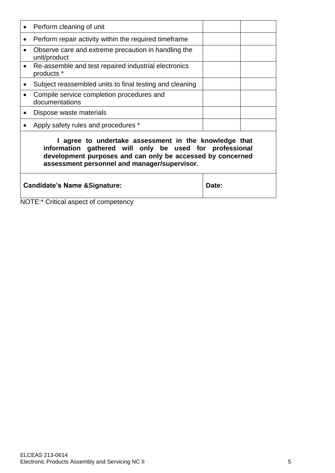|           | Perform cleaning of unit                                                                                                                                                                                                       |  |  |  |  |  |
|-----------|--------------------------------------------------------------------------------------------------------------------------------------------------------------------------------------------------------------------------------|--|--|--|--|--|
| ٠         | Perform repair activity within the required timeframe                                                                                                                                                                          |  |  |  |  |  |
|           | Observe care and extreme precaution in handling the<br>unit/product                                                                                                                                                            |  |  |  |  |  |
| $\bullet$ | Re-assemble and test repaired industrial electronics<br>products *                                                                                                                                                             |  |  |  |  |  |
|           | Subject reassembled units to final testing and cleaning                                                                                                                                                                        |  |  |  |  |  |
|           | Compile service completion procedures and<br>documentations                                                                                                                                                                    |  |  |  |  |  |
|           | Dispose waste materials                                                                                                                                                                                                        |  |  |  |  |  |
|           | Apply safety rules and procedures *                                                                                                                                                                                            |  |  |  |  |  |
|           | I agree to undertake assessment in the knowledge that<br>information gathered will only be used for professional<br>development purposes and can only be accessed by concerned<br>assessment personnel and manager/supervisor. |  |  |  |  |  |
|           | <b>Candidate's Name &amp; Signature:</b><br>Date:                                                                                                                                                                              |  |  |  |  |  |

NOTE:\* Critical aspect of competency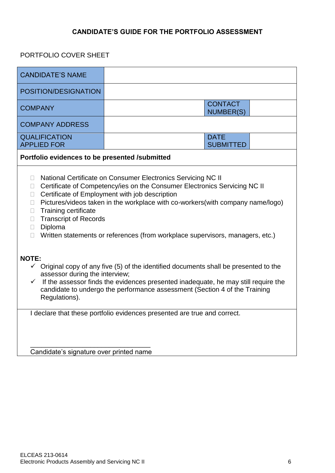#### **CANDIDATE'S GUIDE FOR THE PORTFOLIO ASSESSMENT**

#### PORTFOLIO COVER SHEET

| <b>CANDIDATE'S NAME</b>                                                                                                                                                                                                                                                                                                                                                                                                                                                                                                                                                                                                                                                                                                                                                                                                                                         |                                    |  |  |  |  |
|-----------------------------------------------------------------------------------------------------------------------------------------------------------------------------------------------------------------------------------------------------------------------------------------------------------------------------------------------------------------------------------------------------------------------------------------------------------------------------------------------------------------------------------------------------------------------------------------------------------------------------------------------------------------------------------------------------------------------------------------------------------------------------------------------------------------------------------------------------------------|------------------------------------|--|--|--|--|
| POSITION/DESIGNATION                                                                                                                                                                                                                                                                                                                                                                                                                                                                                                                                                                                                                                                                                                                                                                                                                                            |                                    |  |  |  |  |
| <b>COMPANY</b>                                                                                                                                                                                                                                                                                                                                                                                                                                                                                                                                                                                                                                                                                                                                                                                                                                                  | <b>CONTACT</b><br><b>NUMBER(S)</b> |  |  |  |  |
| <b>COMPANY ADDRESS</b>                                                                                                                                                                                                                                                                                                                                                                                                                                                                                                                                                                                                                                                                                                                                                                                                                                          |                                    |  |  |  |  |
| <b>QUALIFICATION</b><br><b>APPLIED FOR</b>                                                                                                                                                                                                                                                                                                                                                                                                                                                                                                                                                                                                                                                                                                                                                                                                                      | <b>DATE</b><br><b>SUBMITTED</b>    |  |  |  |  |
| Portfolio evidences to be presented /submitted                                                                                                                                                                                                                                                                                                                                                                                                                                                                                                                                                                                                                                                                                                                                                                                                                  |                                    |  |  |  |  |
| National Certificate on Consumer Electronics Servicing NC II<br>$\Box$<br>Certificate of Competency/ies on the Consumer Electronics Servicing NC II<br>$\Box$<br>Certificate of Employment with job description<br>П<br>Pictures/videos taken in the workplace with co-workers(with company name/logo)<br>$\Box$<br>Training certificate<br>$\Box$<br><b>Transcript of Records</b><br>$\Box$<br>Diploma<br>$\Box$<br>Written statements or references (from workplace supervisors, managers, etc.)<br>П<br><b>NOTE:</b><br>$\checkmark$ Original copy of any five (5) of the identified documents shall be presented to the<br>assessor during the interview;<br>$\checkmark$ If the assessor finds the evidences presented inadequate, he may still require the<br>candidate to undergo the performance assessment (Section 4 of the Training<br>Regulations). |                                    |  |  |  |  |
| I declare that these portfolio evidences presented are true and correct.                                                                                                                                                                                                                                                                                                                                                                                                                                                                                                                                                                                                                                                                                                                                                                                        |                                    |  |  |  |  |
|                                                                                                                                                                                                                                                                                                                                                                                                                                                                                                                                                                                                                                                                                                                                                                                                                                                                 |                                    |  |  |  |  |
| Candidate's signature over printed name                                                                                                                                                                                                                                                                                                                                                                                                                                                                                                                                                                                                                                                                                                                                                                                                                         |                                    |  |  |  |  |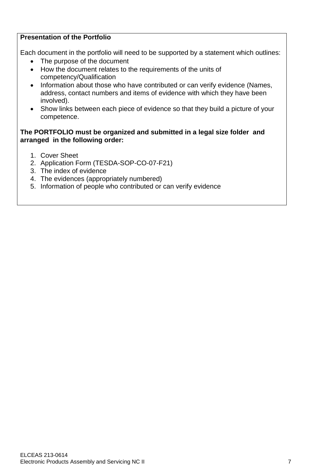#### **Presentation of the Portfolio**

Each document in the portfolio will need to be supported by a statement which outlines:

- The purpose of the document
- How the document relates to the requirements of the units of competency/Qualification
- Information about those who have contributed or can verify evidence (Names, address, contact numbers and items of evidence with which they have been involved).
- Show links between each piece of evidence so that they build a picture of your competence.

#### **The PORTFOLIO must be organized and submitted in a legal size folder and arranged in the following order:**

- 1. Cover Sheet
- 2. Application Form (TESDA-SOP-CO-07-F21)
- 3. The index of evidence
- 4. The evidences (appropriately numbered)
- 5. Information of people who contributed or can verify evidence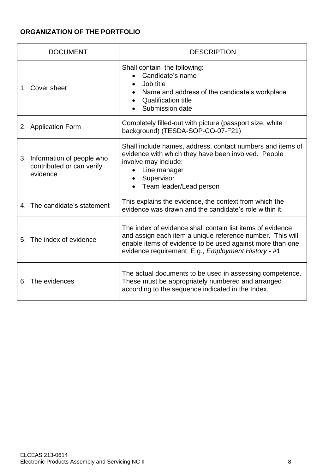# **ORGANIZATION OF THE PORTFOLIO**

| <b>DOCUMENT</b>                                                       | <b>DESCRIPTION</b>                                                                                                                                                                                                                          |
|-----------------------------------------------------------------------|---------------------------------------------------------------------------------------------------------------------------------------------------------------------------------------------------------------------------------------------|
| 1. Cover sheet                                                        | Shall contain the following:<br>Candidate's name<br>Job title<br>Name and address of the candidate's workplace<br><b>Qualification title</b><br>Submission date                                                                             |
| 2. Application Form                                                   | Completely filled-out with picture (passport size, white<br>background) (TESDA-SOP-CO-07-F21)                                                                                                                                               |
| 3. Information of people who<br>contributed or can verify<br>evidence | Shall include names, address, contact numbers and items of<br>evidence with which they have been involved. People<br>involve may include:<br>Line manager<br>Supervisor<br>Team leader/Lead person                                          |
| 4. The candidate's statement                                          | This explains the evidence, the context from which the<br>evidence was drawn and the candidate's role within it.                                                                                                                            |
| 5. The index of evidence                                              | The index of evidence shall contain list items of evidence<br>and assign each item a unique reference number. This will<br>enable items of evidence to be used against more than one<br>evidence requirement. E.g., Employment History - #1 |
| 6. The evidences                                                      | The actual documents to be used in assessing competence.<br>These must be appropriately numbered and arranged<br>according to the sequence indicated in the Index.                                                                          |